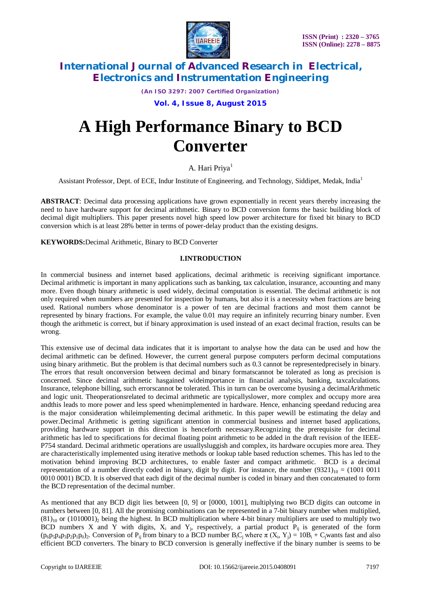

*(An ISO 3297: 2007 Certified Organization)*

**Vol. 4, Issue 8, August 2015**

# **A High Performance Binary to BCD Converter**

A. Hari Priya<sup>1</sup>

Assistant Professor, Dept. of ECE, Indur Institute of Engineering. and Technology, Siddipet, Medak, India<sup>1</sup>

**ABSTRACT**: Decimal data processing applications have grown exponentially in recent years thereby increasing the need to have hardware support for decimal arithmetic. Binary to BCD conversion forms the basic building block of decimal digit multipliers. This paper presents novel high speed low power architecture for fixed bit binary to BCD conversion which is at least 28% better in terms of power-delay product than the existing designs.

**KEYWORDS:**Decimal Arithmetic, Binary to BCD Converter

### **I.INTRODUCTION**

In commercial business and internet based applications, decimal arithmetic is receiving significant importance. Decimal arithmetic is important in many applications such as banking, tax calculation, insurance, accounting and many more. Even though binary arithmetic is used widely, decimal computation is essential. The decimal arithmetic is not only required when numbers are presented for inspection by humans, but also it is a necessity when fractions are being used. Rational numbers whose denominator is a power of ten are decimal fractions and most them cannot be represented by binary fractions. For example, the value 0.01 may require an infinitely recurring binary number. Even though the arithmetic is correct, but if binary approximation is used instead of an exact decimal fraction, results can be wrong.

This extensive use of decimal data indicates that it is important to analyse how the data can be used and how the decimal arithmetic can be defined. However, the current general purpose computers perform decimal computations using binary arithmetic. But the problem is that decimal numbers such as 0.3 cannot be representedprecisely in binary. The errors that result onconversion between decimal and binary formatscannot be tolerated as long as precision is concerned. Since decimal arithmetic hasgained wideimportance in financial analysis, banking, taxcalculations. Insurance, telephone billing, such errorscannot be tolerated. This in turn can be overcome byusing a decimalArithmetic and logic unit. Theoperationsrelated to decimal arithmetic are typicallyslower, more complex and occupy more area andthis leads to more power and less speed whenimplemented in hardware. Hence, enhancing speedand reducing area is the major consideration whileimplementing decimal arithmetic. In this paper wewill be estimating the delay and power.Decimal Arithmetic is getting significant attention in commercial business and internet based applications, providing hardware support in this direction is henceforth necessary.Recognizing the prerequisite for decimal arithmetic has led to specifications for decimal floating point arithmetic to be added in the draft revision of the IEEE-P754 standard. Decimal arithmetic operations are usuallysluggish and complex, its hardware occupies more area. They are characteristically implemented using iterative methods or lookup table based reduction schemes. This has led to the motivation behind improving BCD architectures, to enable faster and compact arithmetic. BCD is a decimal representation of a number directly coded in binary, digit by digit. For instance, the number  $(9321)_{10} = (1001\ 0011$ 0010 0001) BCD. It is observed that each digit of the decimal number is coded in binary and then concatenated to form the BCD representation of the decimal number.

As mentioned that any BCD digit lies between [0, 9] or [0000, 1001], multiplying two BCD digits can outcome in numbers between [0, 81]. All the promising combinations can be represented in a 7-bit binary number when multiplied,  $(81)_{10}$  or  $(1010001)_2$  being the highest. In BCD multiplication where 4-bit binary multipliers are used to multiply two BCD numbers X and Y with digits,  $X_i$  and Y<sub>j</sub>, respectively, a partial product  $P_{ij}$  is generated of the form  $(p_6p_5p_4p_3p_2p_1p_0)_2$ . Conversion of P<sub>ij</sub> from binary to a BCD number B<sub>i</sub>C<sub>j</sub> where  $\pi$  (X<sub>i</sub>, Y<sub>j</sub>) = 10B<sub>i</sub> + C<sub>j</sub>wants fast and also efficient BCD converters. The binary to BCD conversion is generally ineffective if the binary number is seems to be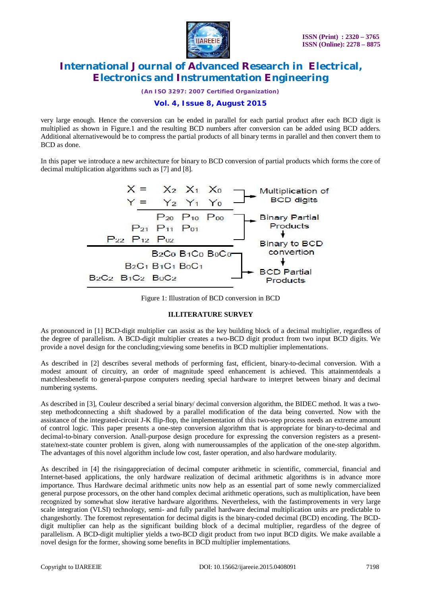

*(An ISO 3297: 2007 Certified Organization)*

### **Vol. 4, Issue 8, August 2015**

very large enough. Hence the conversion can be ended in parallel for each partial product after each BCD digit is multiplied as shown in Figure.1 and the resulting BCD numbers after conversion can be added using BCD adders. Additional alternativewould be to compress the partial products of all binary terms in parallel and then convert them to BCD as done.

In this paper we introduce a new architecture for binary to BCD conversion of partial products which forms the core of decimal multiplication algorithms such as [7] and [8].



Figure 1: Illustration of BCD conversion in BCD

#### **II.LITERATURE SURVEY**

As pronounced in [1] BCD-digit multiplier can assist as the key building block of a decimal multiplier, regardless of the degree of parallelism. A BCD-digit multiplier creates a two-BCD digit product from two input BCD digits. We provide a novel design for the concluding;viewing some benefits in BCD multiplier implementations.

As described in [2] describes several methods of performing fast, efficient, binary-to-decimal conversion. With a modest amount of circuitry, an order of magnitude speed enhancement is achieved. This attainmentdeals a matchlessbenefit to general-purpose computers needing special hardware to interpret between binary and decimal numbering systems.

As described in [3], Couleur described a serial binary/ decimal conversion algorithm, the BIDEC method. It was a twostep methodconnecting a shift shadowed by a parallel modification of the data being converted. Now with the assistance of the integrated-circuit J-K flip-flop, the implementation of this two-step process needs an extreme amount of control logic. This paper presents a one-step conversion algorithm that is appropriate for binary-to-decimal and decimal-to-binary conversion. Anall-purpose design procedure for expressing the conversion registers as a presentstate/next-state counter problem is given, along with numeroussamples of the application of the one-step algorithm. The advantages of this novel algorithm include low cost, faster operation, and also hardware modularity.

As described in [4] the risingappreciation of decimal computer arithmetic in scientific, commercial, financial and Internet-based applications, the only hardware realization of decimal arithmetic algorithms is in advance more importance. Thus Hardware decimal arithmetic units now help as an essential part of some newly commercialized general purpose processors, on the other hand complex decimal arithmetic operations, such as multiplication, have been recognized by somewhat slow iterative hardware algorithms. Nevertheless, with the fastimprovements in very large scale integration (VLSI) technology, semi- and fully parallel hardware decimal multiplication units are predictable to changeshortly. The foremost representation for decimal digits is the binary-coded decimal (BCD) encoding. The BCDdigit multiplier can help as the significant building block of a decimal multiplier, regardless of the degree of parallelism. A BCD-digit multiplier yields a two-BCD digit product from two input BCD digits. We make available a novel design for the former, showing some benefits in BCD multiplier implementations.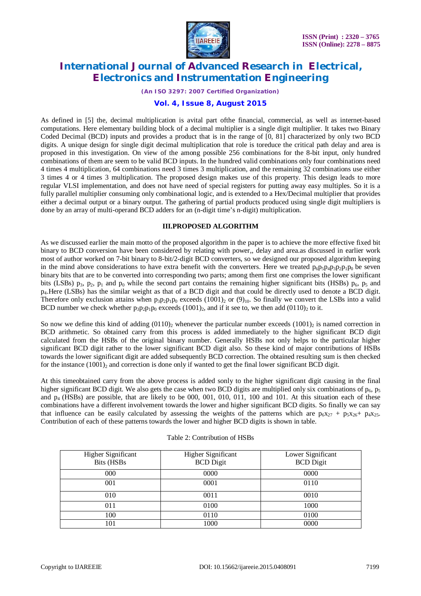

*(An ISO 3297: 2007 Certified Organization)*

### **Vol. 4, Issue 8, August 2015**

As defined in [5] the, decimal multiplication is avital part ofthe financial, commercial, as well as internet-based computations. Here elementary building block of a decimal multiplier is a single digit multiplier. It takes two Binary Coded Decimal (BCD) inputs and provides a product that is in the range of [0, 81] characterized by only two BCD digits. A unique design for single digit decimal multiplication that role is toreduce the critical path delay and area is proposed in this investigation. On view of the among possible 256 combinations for the 8-bit input, only hundred combinations of them are seem to be valid BCD inputs. In the hundred valid combinations only four combinations need 4 times 4 multiplication, 64 combinations need 3 times 3 multiplication, and the remaining 32 combinations use either 3 times 4 or 4 times 3 multiplication. The proposed design makes use of this property. This design leads to more regular VLSI implementation, and does not have need of special registers for putting away easy multiples. So it is a fully parallel multiplier consuming only combinational logic, and is extended to a Hex/Decimal multiplier that provides either a decimal output or a binary output. The gathering of partial products produced using single digit multipliers is done by an array of multi-operand BCD adders for an (n-digit time's n-digit) multiplication.

#### **III.PROPOSED ALGORITHM**

As we discussed earlier the main motto of the proposed algorithm in the paper is to achieve the more effective fixed bit binary to BCD conversion have been considered by relating with power,, delay and area.as discussed in earlier work most of author worked on 7-bit binary to 8-bit/2-digit BCD converters, so we designed our proposed algorithm keeping in the mind above considerations to have extra benefit with the converters. Here we treated  $p_6p_5p_4p_3p_2p_1p_0$  be seven binary bits that are to be converted into corresponding two parts; among them first one comprises the lower significant bits (LSBs)  $p_3$ ,  $p_2$ ,  $p_1$  and  $p_0$  while the second part contains the remaining higher significant bits (HSBs)  $p_6$ ,  $p_5$  and p4.Here (LSBs) has the similar weight as that of a BCD digit and that could be directly used to denote a BCD digit. Therefore only exclusion attains when  $p_3p_2p_1p_0$  exceeds (1001), or (9)<sub>10</sub>. So finally we convert the LSBs into a valid BCD number we check whether  $p_3p_2p_1p_0$  exceeds (1001)<sub>2</sub>, and if it see to, we then add (0110)<sub>2</sub> to it.

So now we define this kind of adding  $(0110)$ , whenever the particular number exceeds  $(1001)$ , is named correction in BCD arithmetic. So obtained carry from this process is added immediately to the higher significant BCD digit calculated from the HSBs of the original binary number. Generally HSBs not only helps to the particular higher significant BCD digit rather to the lower significant BCD digit also. So these kind of major contributions of HSBs towards the lower significant digit are added subsequently BCD correction. The obtained resulting sum is then checked for the instance  $(1001)_2$  and correction is done only if wanted to get the final lower significant BCD digit.

At this timeobtained carry from the above process is added sonly to the higher significant digit causing in the final higher significant BCD digit. We also gets the case when two BCD digits are multiplied only six combinations of  $p_6$ ,  $p_5$ and  $p_4$  (HSBs) are possible, that are likely to be 000, 001, 010, 011, 100 and 101. At this situation each of these combinations have a different involvement towards the lower and higher significant BCD digits. So finally we can say that influence can be easily calculated by assessing the weights of the patterns which are  $p_6x_{27} + p_5x_{26} + p_4x_{25}$ . Contribution of each of these patterns towards the lower and higher BCD digits is shown in table.

| <b>Higher Significant</b><br>Bits (HSBs | <b>Higher Significant</b><br><b>BCD</b> Digit | Lower Significant<br><b>BCD</b> Digit |
|-----------------------------------------|-----------------------------------------------|---------------------------------------|
| 000                                     | 0000                                          | 0000                                  |
| 001                                     | 0001                                          | 0110                                  |
| 010                                     | 0011                                          | 0010                                  |
| 011                                     | 0100                                          | 1000                                  |
| 100                                     | 0110                                          | 0100                                  |
| 101                                     | 1000                                          | 0000                                  |

#### Table 2: Contribution of HSBs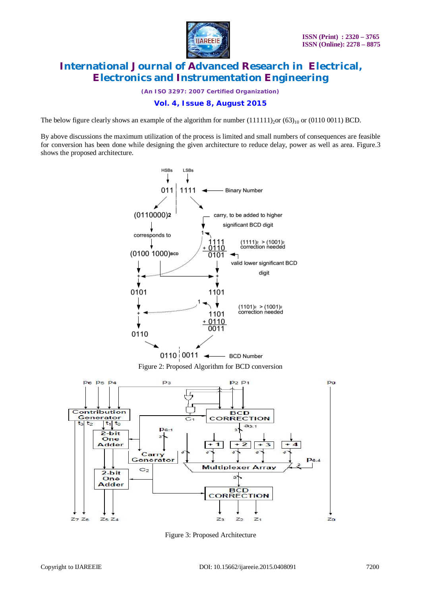

*(An ISO 3297: 2007 Certified Organization)*

### **Vol. 4, Issue 8, August 2015**

The below figure clearly shows an example of the algorithm for number  $(111111)_{20}$ or  $(63)_{10}$  or  $(0110\ 0011)$  BCD.

By above discussions the maximum utilization of the process is limited and small numbers of consequences are feasible for conversion has been done while designing the given architecture to reduce delay, power as well as area. Figure.3 shows the proposed architecture.



Figure 3: Proposed Architecture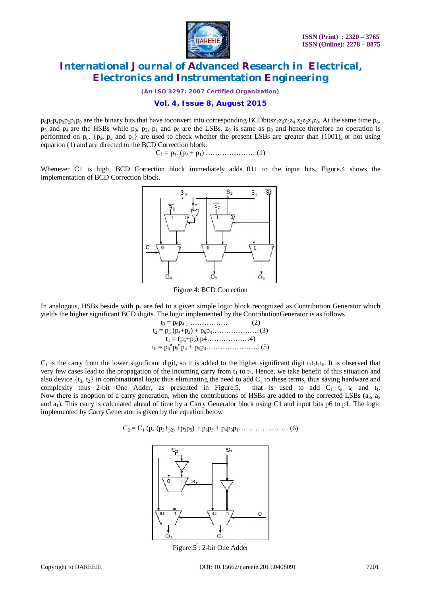

*(An ISO 3297: 2007 Certified Organization)*

#### **Vol. 4, Issue 8, August 2015**

 $p_6p_5p_4p_3p_2p_1p_0$  are the binary bits that have toconvert into corresponding BCDbitsz<sub>7</sub>z<sub>6</sub>z<sub>5</sub>z<sub>4</sub> z<sub>3</sub>z<sub>2</sub>z<sub>1</sub>z<sub>0</sub>. At the same time  $p_6$ ,  $p_5$  and  $p_4$  are the HSBs while  $p_3$ ,  $p_2$ ,  $p_1$  and  $p_0$  are the LSBs.  $z_0$  is same as  $p_0$  and hence therefore no operation is performed on  $p_0$ . { $p_3$ ,  $p_2$  and  $p_1$ } are used to check whether the present LSBs are greater than (1001)<sub>2</sub> or not using equation (1) and are directed to the BCD Correction block.

C<sup>1</sup> = p3. (p<sup>2</sup> + p1) ………………… (1)

Whenever C1 is high, BCD Correction block immediately adds 011 to the input bits. Figure.4 shows the implementation of BCD Correction block.



Figure.4: BCD Correction

In analogous, HSBs beside with  $p_3$  are fed to a given simple logic block recognized as Contribution Generator which yields the higher significant BCD digits. The logic implemented by the ContributionGenerator is as follows

> $t_3 = p_6p_4 \dots (2)$  $t_2 = p_5 (p_4+p_3) + p_6 p_4 \dots (3)$ t<sup>1</sup> = (p5+p6) p4………………4)  $t_0 = p_6''p_5''p_4 + p_5p_4 \dots (5)$

 $C_1$  is the carry from the lower significant digit, so it is added to the higher significant digit t<sub>3t2t1t0</sub>. It is observed that very few cases lead to the propagation of the incoming carry from  $t_1$  to  $t_2$ . Hence, we take benefit of this situation and also device  $\{t_3, t_2\}$  in combinational logic thus eliminating the need to add  $C_1$  to these terms, thus saving hardware and complexity thus 2-bit One Adder, as presented in Figure.5, that is used to add  $C_1$  t<sub>0</sub> and t<sub>1</sub>. Now there is anoption of a carry generation, when the contributions of HSBs are added to the corrected LSBs  $(a_3, a_2)$ and  $a_1$ ). This carry is calculated ahead of time by a Carry Generator block using C1 and input bits p6 to p1. The logic implemented by Carry Generator is given by the equation below

C<sup>2</sup> = C<sup>1</sup> (p<sup>4</sup> (p3+p2) +p3p5) + p6p<sup>3</sup> + p4p3p1………………… (6)



Figure.5 : 2-bit One Adder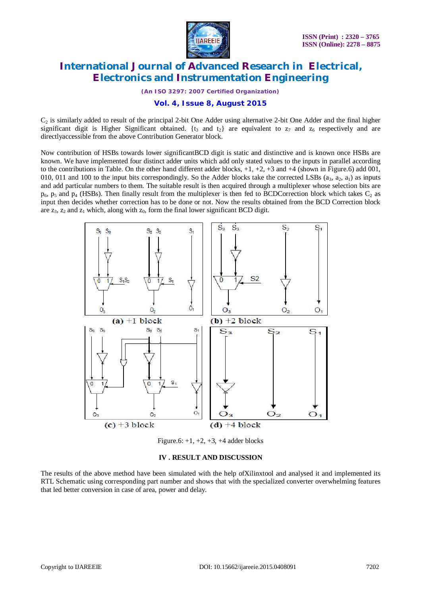

*(An ISO 3297: 2007 Certified Organization)*

### **Vol. 4, Issue 8, August 2015**

 $C_2$  is similarly added to result of the principal 2-bit One Adder using alternative 2-bit One Adder and the final higher significant digit is Higher Significant obtained.  $\{t_3 \text{ and } t_2\}$  are equivalent to  $z_7$  and  $z_6$  respectively and are directlyaccessible from the above Contribution Generator block.

Now contribution of HSBs towards lower significantBCD digit is static and distinctive and is known once HSBs are known. We have implemented four distinct adder units which add only stated values to the inputs in parallel according to the contributions in Table. On the other hand different adder blocks,  $+1$ ,  $+2$ ,  $+3$  and  $+4$  (shown in Figure.6) add 001, 010, 011 and 100 to the input bits correspondingly. So the Adder blocks take the corrected LSBs  $(a_3, a_2, a_1)$  as inputs and add particular numbers to them. The suitable result is then acquired through a multiplexer whose selection bits are  $p_6$ ,  $p_5$  and  $p_4$  (HSBs). Then finally result from the multiplexer is then fed to BCDCorrection block which takes  $C_2$  as input then decides whether correction has to be done or not. Now the results obtained from the BCD Correction block are  $z_3$ ,  $z_2$  and  $z_1$  which, along with  $z_0$ , form the final lower significant BCD digit.



Figure.6:  $+1, +2, +3, +4$  adder blocks

#### **IV . RESULT AND DISCUSSION**

The results of the above method have been simulated with the help ofXilinxtool and analysed it and implemented its RTL Schematic using corresponding part number and shows that with the specialized converter overwhelming features that led better conversion in case of area, power and delay.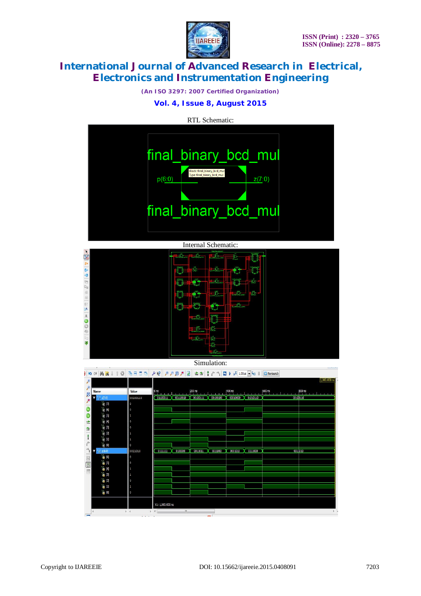

*(An ISO 3297: 2007 Certified Organization)*

### **Vol. 4, Issue 8, August 2015**

RTL Schematic:





#### Simulation:

|                          |                                                 |          | )   の a   A   次 ↓ ↑ ②   毛田田口   ノ K?   ア ア B ノ B   土 コ   † 个 个   ロ レ jx   1.00us   G   E     DRelaunth        |
|--------------------------|-------------------------------------------------|----------|--------------------------------------------------------------------------------------------------------------|
| Þ                        |                                                 |          | 1,000.000 ns                                                                                                 |
| Ø                        | <b>Name</b>                                     | Value    | $400 \text{ ns}$<br>$200 \text{ ns}$<br>800 ns<br>$\vert$ 0 ns<br><b>College Road</b><br><b>Allen Artist</b> |
|                          | 27.0                                            | 00100110 | $00100111$ $\chi$ 00100100<br>00010000  01010110<br>00110010<br>0010D110<br>01100011 X                       |
| $\overline{\mathcal{P}}$ | $\mathbb{I}_{\mathbb{B}}$ [7]                   | $\circ$  |                                                                                                              |
|                          | $\mathbb{I}_{6}$ [6]                            | O        |                                                                                                              |
|                          | $\frac{1}{2}$ [5]                               | 1        |                                                                                                              |
| 亡                        | 18 [4]                                          | O        |                                                                                                              |
| 雪                        | $\mathbb{I}_6$ $\mathbb{B}$                     | O        |                                                                                                              |
| ł                        | $\mathbb{I}_{6}$ [2]                            | 1        |                                                                                                              |
|                          | $\mathbb{I}_{\mathbb{R}}$ [1]                   | 1        |                                                                                                              |
| $\mathbf{r}^{\prime}$    | $\mathbb{U}_0$ [0]                              | $\circ$  |                                                                                                              |
| $\rightarrow$            | p[6:0]                                          | 0011010  | 0100000<br>0111000<br>0011000<br>0111111<br>0011011<br>0001010<br>0011010                                    |
|                          | $\frac{1}{2}$ [6]                               | $\circ$  |                                                                                                              |
| 国国国                      | 65                                              | O        |                                                                                                              |
|                          | $\begin{bmatrix} 0 \\ 0 \end{bmatrix}$          | 1        |                                                                                                              |
|                          | $\mathbb{I}_{\bullet}$ [3]<br>$\frac{1}{2}$ [2] | 1        |                                                                                                              |
|                          | $\mathbb{L}$ $\mathbb{L}$                       | O<br>1   |                                                                                                              |
|                          | $\begin{bmatrix} 0 \\ 0 \end{bmatrix}$          | O        |                                                                                                              |
|                          |                                                 |          |                                                                                                              |
|                          |                                                 |          | X1: 1,000.000 ns                                                                                             |
|                          |                                                 | $+$ $+$  | $\mathbf{m}$<br>$+$ $+$<br>$\mathbf{F}$ .<br>$=$                                                             |